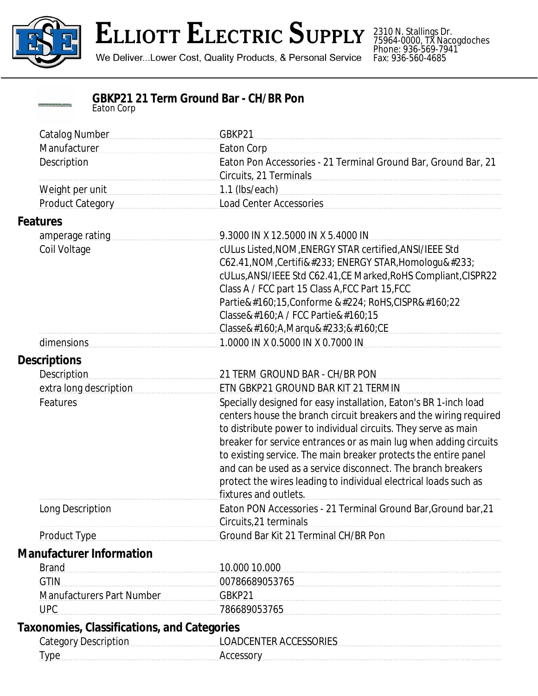

## **ELLIOTT ELECTRIC SUPPLY**

We Deliver...Lower Cost, Quality Products, & Personal Service

2310 N. Stallings Dr. 75964-0000, TX Nacogdoches Phone: 936-569-7941 Fax: 936-560-4685

|            | <b>GBKP21 21 Term Ground Bar - CH/BR Pon</b> |  |
|------------|----------------------------------------------|--|
| Eaton Corp |                                              |  |

| <b>Catalog Number</b>                                 | GBKP21                                                            |  |
|-------------------------------------------------------|-------------------------------------------------------------------|--|
| Manufacturer                                          | Eaton Corp                                                        |  |
| Description                                           | Eaton Pon Accessories - 21 Terminal Ground Bar, Ground Bar, 21    |  |
|                                                       | Circuits, 21 Terminals                                            |  |
| Weight per unit                                       | $1.1$ (lbs/each)                                                  |  |
| Product Category                                      | <b>Load Center Accessories</b>                                    |  |
| <b>Features</b>                                       |                                                                   |  |
| 9.3000 IN X 12.5000 IN X 5.4000 IN<br>amperage rating |                                                                   |  |
| Coil Voltage                                          | cULus Listed, NOM, ENERGY STAR certified, ANSI/IEEE Std           |  |
|                                                       | C62.41, NOM, Certifié ENERGY STAR, Homologué                      |  |
|                                                       | cULus, ANSI/IEEE Std C62.41, CE Marked, RoHS Compliant, CISPR22   |  |
|                                                       | Class A / FCC part 15 Class A, FCC Part 15, FCC                   |  |
|                                                       | Partie 15, Conforme à RoHS, CISPR 22                              |  |
|                                                       | Classe A / FCC Partie 15                                          |  |
|                                                       | Classe A,Marqué CE                                                |  |
| dimensions                                            | 1.0000 IN X 0.5000 IN X 0.7000 IN                                 |  |
| <b>Descriptions</b>                                   |                                                                   |  |
| <b>Description</b>                                    | 21 TERM GROUND BAR - CH/BR PON                                    |  |
| extra long description                                | ETN GBKP21 GROUND BAR KIT 21 TERMIN                               |  |
| Features                                              | Specially designed for easy installation, Eaton's BR 1-inch load  |  |
|                                                       | centers house the branch circuit breakers and the wiring required |  |
|                                                       | to distribute power to individual circuits. They serve as main    |  |
|                                                       | breaker for service entrances or as main lug when adding circuits |  |
|                                                       | to existing service. The main breaker protects the entire panel   |  |
|                                                       | and can be used as a service disconnect. The branch breakers      |  |
|                                                       | protect the wires leading to individual electrical loads such as  |  |
|                                                       | fixtures and outlets.                                             |  |
| Long Description                                      | Eaton PON Accessories - 21 Terminal Ground Bar, Ground bar, 21    |  |
|                                                       | Circuits, 21 terminals                                            |  |
| <b>Product Type</b>                                   | Ground Bar Kit 21 Terminal CH/BR Pon                              |  |
| <b>Manufacturer Information</b>                       |                                                                   |  |
| <b>Brand</b>                                          | 10.000 10.000                                                     |  |
| <b>GTIN</b>                                           | 00786689053765                                                    |  |
| <b>Manufacturers Part Number</b>                      | GBKP21                                                            |  |
| <b>UPC</b>                                            | 786689053765                                                      |  |
| <b>Taxonomies, Classifications, and Categories</b>    |                                                                   |  |
| <b>Category Description</b>                           | <b>LOADCENTER ACCESSORIES</b>                                     |  |
|                                                       |                                                                   |  |
| <b>Type</b>                                           | Accessory                                                         |  |